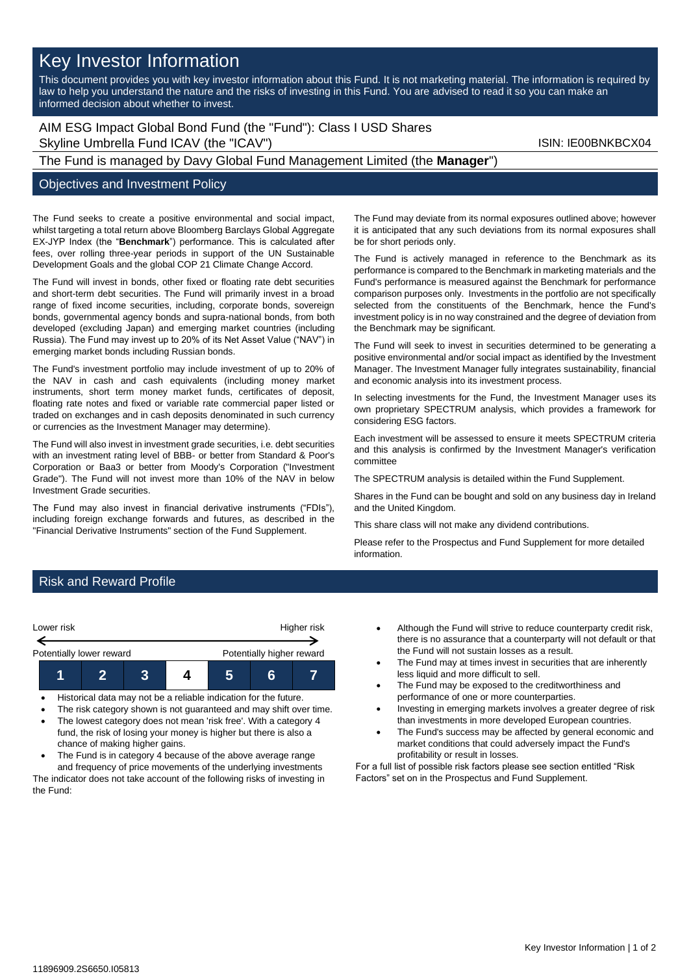# Key Investor Information

This document provides you with key investor information about this Fund. It is not marketing material. The information is required by law to help you understand the nature and the risks of investing in this Fund. You are advised to read it so you can make an informed decision about whether to invest.

AIM ESG Impact Global Bond Fund (the "Fund"): Class I USD Shares Skyline Umbrella Fund ICAV (the "ICAV") Skyline Umbrella Fund ICAV (the "ICAV")

The Fund is managed by Davy Global Fund Management Limited (the **Manager**")

## Objectives and Investment Policy

The Fund seeks to create a positive environmental and social impact, whilst targeting a total return above Bloomberg Barclays Global Aggregate EX-JYP Index (the "**Benchmark**") performance. This is calculated after fees, over rolling three-year periods in support of the UN Sustainable Development Goals and the global COP 21 Climate Change Accord.

The Fund will invest in bonds, other fixed or floating rate debt securities and short-term debt securities. The Fund will primarily invest in a broad range of fixed income securities, including, corporate bonds, sovereign bonds, governmental agency bonds and supra-national bonds, from both developed (excluding Japan) and emerging market countries (including Russia). The Fund may invest up to 20% of its Net Asset Value ("NAV") in emerging market bonds including Russian bonds.

The Fund's investment portfolio may include investment of up to 20% of the NAV in cash and cash equivalents (including money market instruments, short term money market funds, certificates of deposit, floating rate notes and fixed or variable rate commercial paper listed or traded on exchanges and in cash deposits denominated in such currency or currencies as the Investment Manager may determine).

The Fund will also invest in investment grade securities, i.e. debt securities with an investment rating level of BBB- or better from Standard & Poor's Corporation or Baa3 or better from Moody's Corporation ("Investment Grade"). The Fund will not invest more than 10% of the NAV in below Investment Grade securities.

The Fund may also invest in financial derivative instruments ("FDIs"), including foreign exchange forwards and futures, as described in the "Financial Derivative Instruments" section of the Fund Supplement.

The Fund may deviate from its normal exposures outlined above; however it is anticipated that any such deviations from its normal exposures shall be for short periods only.

The Fund is actively managed in reference to the Benchmark as its performance is compared to the Benchmark in marketing materials and the Fund's performance is measured against the Benchmark for performance comparison purposes only. Investments in the portfolio are not specifically selected from the constituents of the Benchmark, hence the Fund's investment policy is in no way constrained and the degree of deviation from the Benchmark may be significant.

The Fund will seek to invest in securities determined to be generating a positive environmental and/or social impact as identified by the Investment Manager. The Investment Manager fully integrates sustainability, financial and economic analysis into its investment process.

In selecting investments for the Fund, the Investment Manager uses its own proprietary SPECTRUM analysis, which provides a framework for considering ESG factors.

Each investment will be assessed to ensure it meets SPECTRUM criteria and this analysis is confirmed by the Investment Manager's verification committee

The SPECTRUM analysis is detailed within the Fund Supplement.

Shares in the Fund can be bought and sold on any business day in Ireland and the United Kingdom.

This share class will not make any dividend contributions.

Please refer to the Prospectus and Fund Supplement for more detailed information.

## Risk and Reward Profile



- 
- The risk category shown is not guaranteed and may shift over time. • The lowest category does not mean 'risk free'. With a category 4
- fund, the risk of losing your money is higher but there is also a chance of making higher gains.
- The Fund is in category 4 because of the above average range and frequency of price movements of the underlying investments The indicator does not take account of the following risks of investing in the Fund:
- Although the Fund will strive to reduce counterparty credit risk, there is no assurance that a counterparty will not default or that the Fund will not sustain losses as a result.
- The Fund may at times invest in securities that are inherently less liquid and more difficult to sell.
- The Fund may be exposed to the creditworthiness and performance of one or more counterparties.
- Investing in emerging markets involves a greater degree of risk than investments in more developed European countries.
- The Fund's success may be affected by general economic and market conditions that could adversely impact the Fund's profitability or result in losses.

For a full list of possible risk factors please see section entitled "Risk Factors" set on in the Prospectus and Fund Supplement.